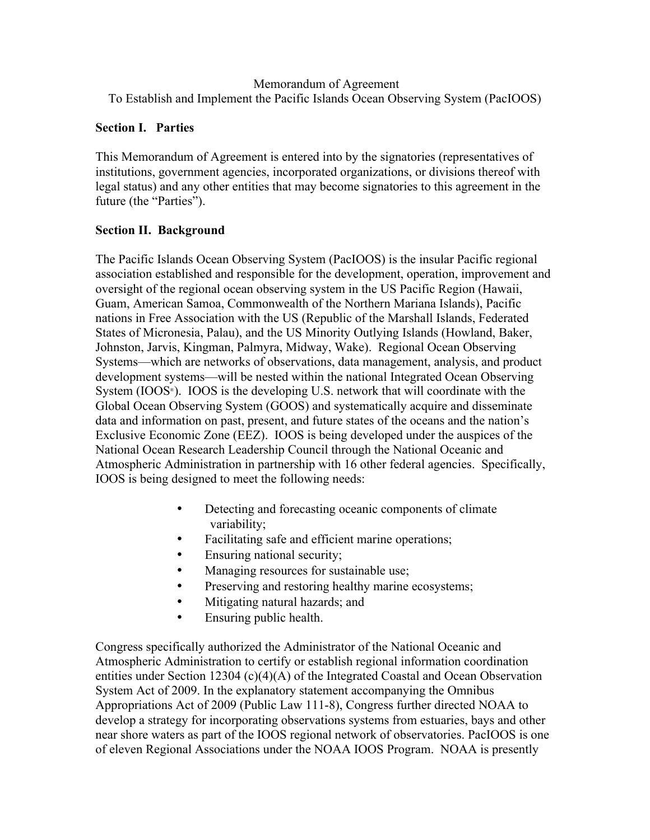## Memorandum of Agreement To Establish and Implement the Pacific Islands Ocean Observing System (PacIOOS)

## **Section I. Parties**

This Memorandum of Agreement is entered into by the signatories (representatives of institutions, government agencies, incorporated organizations, or divisions thereof with legal status) and any other entities that may become signatories to this agreement in the future (the "Parties").

# **Section II. Background**

The Pacific Islands Ocean Observing System (PacIOOS) is the insular Pacific regional association established and responsible for the development, operation, improvement and oversight of the regional ocean observing system in the US Pacific Region (Hawaii, Guam, American Samoa, Commonwealth of the Northern Mariana Islands), Pacific nations in Free Association with the US (Republic of the Marshall Islands, Federated States of Micronesia, Palau), and the US Minority Outlying Islands (Howland, Baker, Johnston, Jarvis, Kingman, Palmyra, Midway, Wake). Regional Ocean Observing Systems—which are networks of observations, data management, analysis, and product development systems—will be nested within the national Integrated Ocean Observing System  $(IOOS<sup>®</sup>)$ . IOOS is the developing U.S. network that will coordinate with the Global Ocean Observing System (GOOS) and systematically acquire and disseminate data and information on past, present, and future states of the oceans and the nation's Exclusive Economic Zone (EEZ). IOOS is being developed under the auspices of the National Ocean Research Leadership Council through the National Oceanic and Atmospheric Administration in partnership with 16 other federal agencies. Specifically, IOOS is being designed to meet the following needs:

- Detecting and forecasting oceanic components of climate variability;
- Facilitating safe and efficient marine operations;
- Ensuring national security;
- Managing resources for sustainable use;
- Preserving and restoring healthy marine ecosystems;
- Mitigating natural hazards; and
- Ensuring public health.

Congress specifically authorized the Administrator of the National Oceanic and Atmospheric Administration to certify or establish regional information coordination entities under Section 12304 (c)(4)(A) of the Integrated Coastal and Ocean Observation System Act of 2009. In the explanatory statement accompanying the Omnibus Appropriations Act of 2009 (Public Law 111-8), Congress further directed NOAA to develop a strategy for incorporating observations systems from estuaries, bays and other near shore waters as part of the IOOS regional network of observatories. PacIOOS is one of eleven Regional Associations under the NOAA IOOS Program. NOAA is presently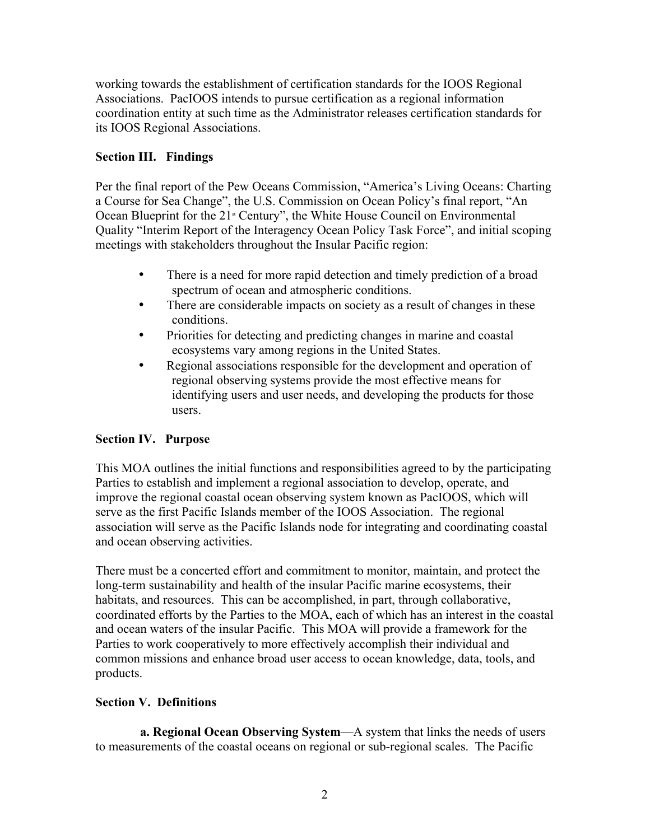working towards the establishment of certification standards for the IOOS Regional Associations. PacIOOS intends to pursue certification as a regional information coordination entity at such time as the Administrator releases certification standards for its IOOS Regional Associations.

# **Section III. Findings**

Per the final report of the Pew Oceans Commission, "America's Living Oceans: Charting a Course for Sea Change", the U.S. Commission on Ocean Policy's final report, "An Ocean Blueprint for the  $21$ <sup>st</sup> Century", the White House Council on Environmental Quality "Interim Report of the Interagency Ocean Policy Task Force", and initial scoping meetings with stakeholders throughout the Insular Pacific region:

- There is a need for more rapid detection and timely prediction of a broad spectrum of ocean and atmospheric conditions.
- There are considerable impacts on society as a result of changes in these conditions.
- Priorities for detecting and predicting changes in marine and coastal ecosystems vary among regions in the United States.
- Regional associations responsible for the development and operation of regional observing systems provide the most effective means for identifying users and user needs, and developing the products for those users.

# **Section IV. Purpose**

This MOA outlines the initial functions and responsibilities agreed to by the participating Parties to establish and implement a regional association to develop, operate, and improve the regional coastal ocean observing system known as PacIOOS, which will serve as the first Pacific Islands member of the IOOS Association. The regional association will serve as the Pacific Islands node for integrating and coordinating coastal and ocean observing activities.

There must be a concerted effort and commitment to monitor, maintain, and protect the long-term sustainability and health of the insular Pacific marine ecosystems, their habitats, and resources. This can be accomplished, in part, through collaborative, coordinated efforts by the Parties to the MOA, each of which has an interest in the coastal and ocean waters of the insular Pacific. This MOA will provide a framework for the Parties to work cooperatively to more effectively accomplish their individual and common missions and enhance broad user access to ocean knowledge, data, tools, and products.

# **Section V. Definitions**

 **a. Regional Ocean Observing System**—A system that links the needs of users to measurements of the coastal oceans on regional or sub-regional scales. The Pacific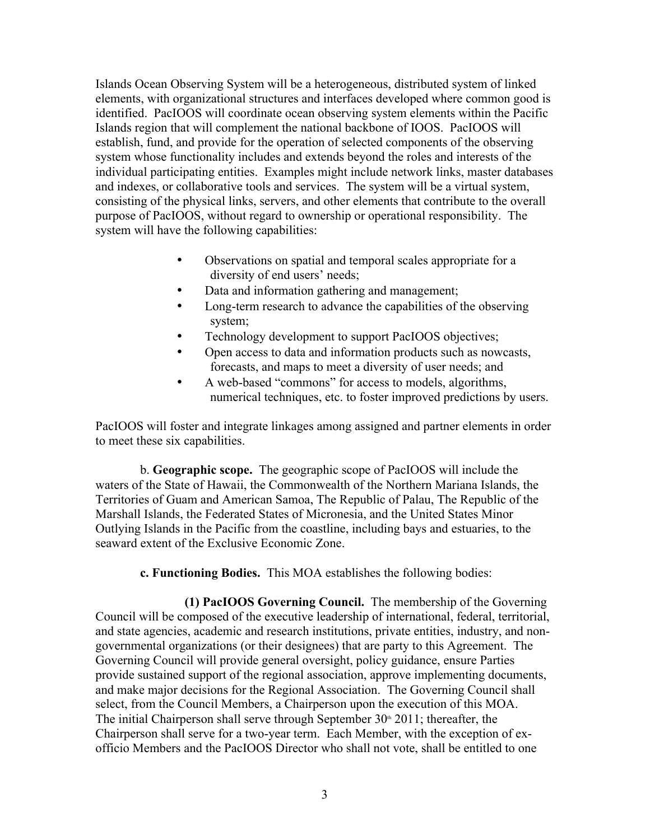Islands Ocean Observing System will be a heterogeneous, distributed system of linked elements, with organizational structures and interfaces developed where common good is identified. PacIOOS will coordinate ocean observing system elements within the Pacific Islands region that will complement the national backbone of IOOS. PacIOOS will establish, fund, and provide for the operation of selected components of the observing system whose functionality includes and extends beyond the roles and interests of the individual participating entities. Examples might include network links, master databases and indexes, or collaborative tools and services. The system will be a virtual system, consisting of the physical links, servers, and other elements that contribute to the overall purpose of PacIOOS, without regard to ownership or operational responsibility. The system will have the following capabilities:

- Observations on spatial and temporal scales appropriate for a diversity of end users' needs;
- Data and information gathering and management;
- Long-term research to advance the capabilities of the observing system;
- Technology development to support PacIOOS objectives;
- Open access to data and information products such as nowcasts, forecasts, and maps to meet a diversity of user needs; and
- A web-based "commons" for access to models, algorithms, numerical techniques, etc. to foster improved predictions by users.

PacIOOS will foster and integrate linkages among assigned and partner elements in order to meet these six capabilities.

 b. **Geographic scope.** The geographic scope of PacIOOS will include the waters of the State of Hawaii, the Commonwealth of the Northern Mariana Islands, the Territories of Guam and American Samoa, The Republic of Palau, The Republic of the Marshall Islands, the Federated States of Micronesia, and the United States Minor Outlying Islands in the Pacific from the coastline, including bays and estuaries, to the seaward extent of the Exclusive Economic Zone.

**c. Functioning Bodies.** This MOA establishes the following bodies:

 **(1) PacIOOS Governing Council.** The membership of the Governing Council will be composed of the executive leadership of international, federal, territorial, and state agencies, academic and research institutions, private entities, industry, and nongovernmental organizations (or their designees) that are party to this Agreement. The Governing Council will provide general oversight, policy guidance, ensure Parties provide sustained support of the regional association, approve implementing documents, and make major decisions for the Regional Association. The Governing Council shall select, from the Council Members, a Chairperson upon the execution of this MOA. The initial Chairperson shall serve through September  $30<sup>th</sup> 2011$ ; thereafter, the Chairperson shall serve for a two-year term. Each Member, with the exception of exofficio Members and the PacIOOS Director who shall not vote, shall be entitled to one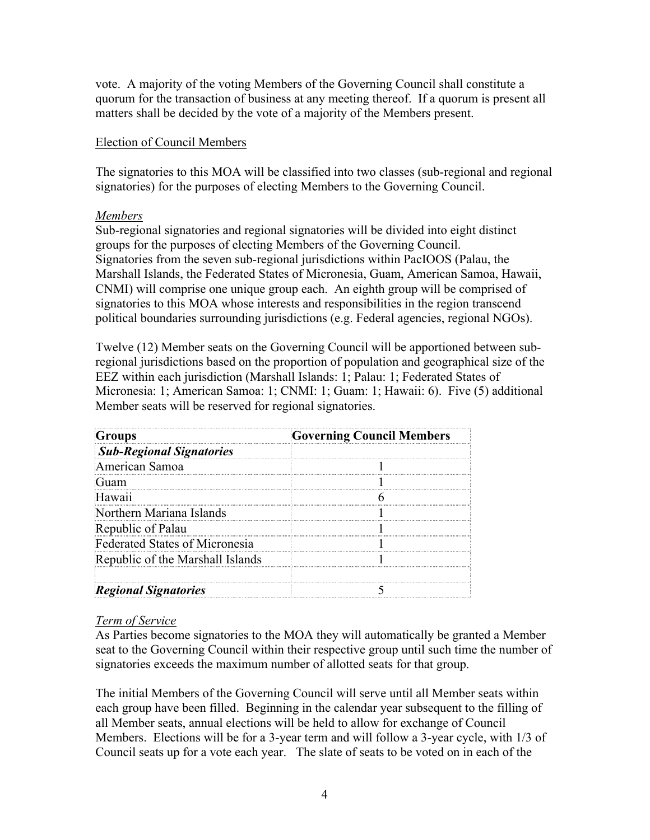vote. A majority of the voting Members of the Governing Council shall constitute a quorum for the transaction of business at any meeting thereof. If a quorum is present all matters shall be decided by the vote of a majority of the Members present.

## Election of Council Members

The signatories to this MOA will be classified into two classes (sub-regional and regional signatories) for the purposes of electing Members to the Governing Council.

## *Members*

Sub-regional signatories and regional signatories will be divided into eight distinct groups for the purposes of electing Members of the Governing Council. Signatories from the seven sub-regional jurisdictions within PacIOOS (Palau, the Marshall Islands, the Federated States of Micronesia, Guam, American Samoa, Hawaii, CNMI) will comprise one unique group each. An eighth group will be comprised of signatories to this MOA whose interests and responsibilities in the region transcend political boundaries surrounding jurisdictions (e.g. Federal agencies, regional NGOs).

Twelve (12) Member seats on the Governing Council will be apportioned between subregional jurisdictions based on the proportion of population and geographical size of the EEZ within each jurisdiction (Marshall Islands: 1; Palau: 1; Federated States of Micronesia: 1; American Samoa: 1; CNMI: 1; Guam: 1; Hawaii: 6). Five (5) additional Member seats will be reserved for regional signatories.

| Groups                           | <b>Governing Council Members</b> |
|----------------------------------|----------------------------------|
| <b>Sub-Regional Signatories</b>  |                                  |
| American Samoa                   |                                  |
|                                  |                                  |
| Hawan                            |                                  |
| Northern Mariana Islands         |                                  |
| Republic of Palau                |                                  |
| Federated States of Micronesia   |                                  |
| Republic of the Marshall Islands |                                  |
|                                  |                                  |
| <b>Regional Signatories</b>      |                                  |

# *Term of Service*

As Parties become signatories to the MOA they will automatically be granted a Member seat to the Governing Council within their respective group until such time the number of signatories exceeds the maximum number of allotted seats for that group.

The initial Members of the Governing Council will serve until all Member seats within each group have been filled. Beginning in the calendar year subsequent to the filling of all Member seats, annual elections will be held to allow for exchange of Council Members. Elections will be for a 3-year term and will follow a 3-year cycle, with 1/3 of Council seats up for a vote each year. The slate of seats to be voted on in each of the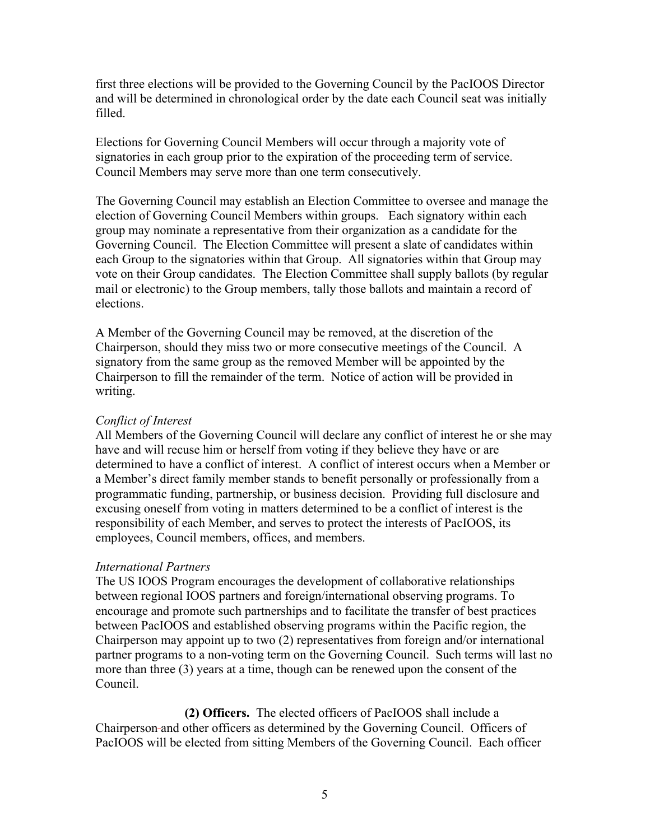first three elections will be provided to the Governing Council by the PacIOOS Director and will be determined in chronological order by the date each Council seat was initially filled.

Elections for Governing Council Members will occur through a majority vote of signatories in each group prior to the expiration of the proceeding term of service. Council Members may serve more than one term consecutively.

The Governing Council may establish an Election Committee to oversee and manage the election of Governing Council Members within groups. Each signatory within each group may nominate a representative from their organization as a candidate for the Governing Council. The Election Committee will present a slate of candidates within each Group to the signatories within that Group. All signatories within that Group may vote on their Group candidates. The Election Committee shall supply ballots (by regular mail or electronic) to the Group members, tally those ballots and maintain a record of elections.

A Member of the Governing Council may be removed, at the discretion of the Chairperson, should they miss two or more consecutive meetings of the Council. A signatory from the same group as the removed Member will be appointed by the Chairperson to fill the remainder of the term. Notice of action will be provided in writing.

#### *Conflict of Interest*

All Members of the Governing Council will declare any conflict of interest he or she may have and will recuse him or herself from voting if they believe they have or are determined to have a conflict of interest. A conflict of interest occurs when a Member or a Member's direct family member stands to benefit personally or professionally from a programmatic funding, partnership, or business decision. Providing full disclosure and excusing oneself from voting in matters determined to be a conflict of interest is the responsibility of each Member, and serves to protect the interests of PacIOOS, its employees, Council members, offices, and members.

#### *International Partners*

The US IOOS Program encourages the development of collaborative relationships between regional IOOS partners and foreign/international observing programs. To encourage and promote such partnerships and to facilitate the transfer of best practices between PacIOOS and established observing programs within the Pacific region, the Chairperson may appoint up to two (2) representatives from foreign and/or international partner programs to a non-voting term on the Governing Council. Such terms will last no more than three (3) years at a time, though can be renewed upon the consent of the Council.

 **(2) Officers.** The elected officers of PacIOOS shall include a Chairperson and other officers as determined by the Governing Council. Officers of PacIOOS will be elected from sitting Members of the Governing Council. Each officer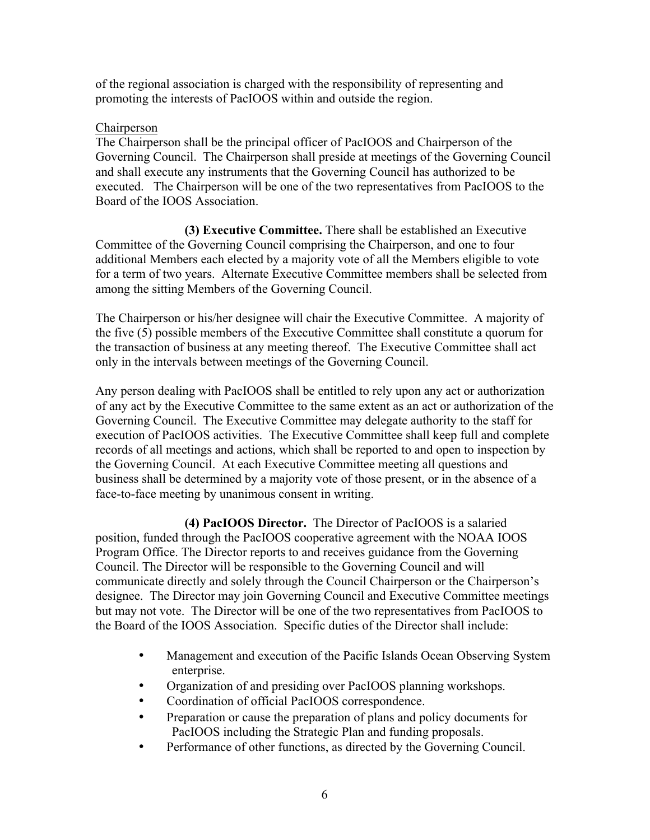of the regional association is charged with the responsibility of representing and promoting the interests of PacIOOS within and outside the region.

## Chairperson

The Chairperson shall be the principal officer of PacIOOS and Chairperson of the Governing Council. The Chairperson shall preside at meetings of the Governing Council and shall execute any instruments that the Governing Council has authorized to be executed. The Chairperson will be one of the two representatives from PacIOOS to the Board of the IOOS Association.

 **(3) Executive Committee.** There shall be established an Executive Committee of the Governing Council comprising the Chairperson, and one to four additional Members each elected by a majority vote of all the Members eligible to vote for a term of two years. Alternate Executive Committee members shall be selected from among the sitting Members of the Governing Council.

The Chairperson or his/her designee will chair the Executive Committee. A majority of the five (5) possible members of the Executive Committee shall constitute a quorum for the transaction of business at any meeting thereof. The Executive Committee shall act only in the intervals between meetings of the Governing Council.

Any person dealing with PacIOOS shall be entitled to rely upon any act or authorization of any act by the Executive Committee to the same extent as an act or authorization of the Governing Council. The Executive Committee may delegate authority to the staff for execution of PacIOOS activities. The Executive Committee shall keep full and complete records of all meetings and actions, which shall be reported to and open to inspection by the Governing Council. At each Executive Committee meeting all questions and business shall be determined by a majority vote of those present, or in the absence of a face-to-face meeting by unanimous consent in writing.

 **(4) PacIOOS Director.** The Director of PacIOOS is a salaried position, funded through the PacIOOS cooperative agreement with the NOAA IOOS Program Office. The Director reports to and receives guidance from the Governing Council. The Director will be responsible to the Governing Council and will communicate directly and solely through the Council Chairperson or the Chairperson's designee. The Director may join Governing Council and Executive Committee meetings but may not vote. The Director will be one of the two representatives from PacIOOS to the Board of the IOOS Association. Specific duties of the Director shall include:

- Management and execution of the Pacific Islands Ocean Observing System enterprise.
- Organization of and presiding over PacIOOS planning workshops.
- Coordination of official PacIOOS correspondence.
- Preparation or cause the preparation of plans and policy documents for PacIOOS including the Strategic Plan and funding proposals.
- Performance of other functions, as directed by the Governing Council.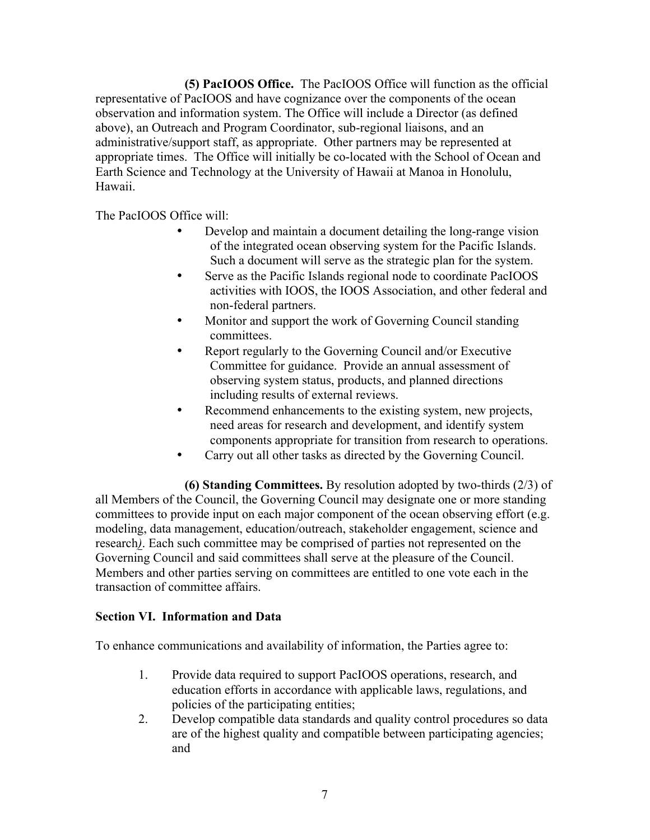**(5) PacIOOS Office.** The PacIOOS Office will function as the official representative of PacIOOS and have cognizance over the components of the ocean observation and information system. The Office will include a Director (as defined above), an Outreach and Program Coordinator, sub-regional liaisons, and an administrative/support staff, as appropriate. Other partners may be represented at appropriate times. The Office will initially be co-located with the School of Ocean and Earth Science and Technology at the University of Hawaii at Manoa in Honolulu, Hawaii.

The PacIOOS Office will:

- Develop and maintain a document detailing the long-range vision of the integrated ocean observing system for the Pacific Islands. Such a document will serve as the strategic plan for the system.
- Serve as the Pacific Islands regional node to coordinate PacIOOS activities with IOOS, the IOOS Association, and other federal and non-federal partners.
- Monitor and support the work of Governing Council standing committees.
- Report regularly to the Governing Council and/or Executive Committee for guidance. Provide an annual assessment of observing system status, products, and planned directions including results of external reviews.
- Recommend enhancements to the existing system, new projects, need areas for research and development, and identify system components appropriate for transition from research to operations.
- Carry out all other tasks as directed by the Governing Council.

 **(6) Standing Committees.** By resolution adopted by two-thirds (2/3) of all Members of the Council, the Governing Council may designate one or more standing committees to provide input on each major component of the ocean observing effort (e.g. modeling, data management, education/outreach, stakeholder engagement, science and research*)*. Each such committee may be comprised of parties not represented on the Governing Council and said committees shall serve at the pleasure of the Council. Members and other parties serving on committees are entitled to one vote each in the transaction of committee affairs.

# **Section VI. Information and Data**

To enhance communications and availability of information, the Parties agree to:

- 1. Provide data required to support PacIOOS operations, research, and education efforts in accordance with applicable laws, regulations, and policies of the participating entities;
- 2. Develop compatible data standards and quality control procedures so data are of the highest quality and compatible between participating agencies; and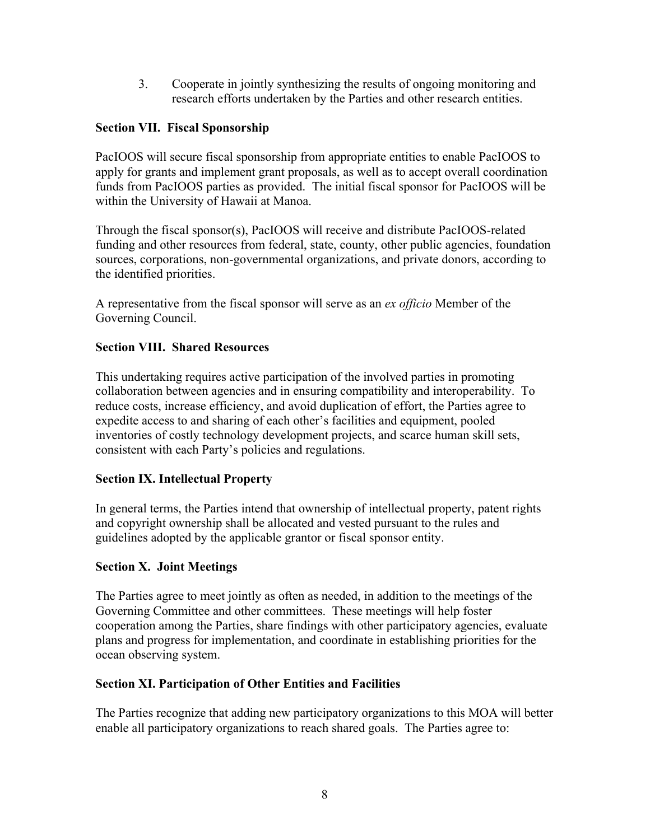3. Cooperate in jointly synthesizing the results of ongoing monitoring and research efforts undertaken by the Parties and other research entities.

## **Section VII. Fiscal Sponsorship**

PacIOOS will secure fiscal sponsorship from appropriate entities to enable PacIOOS to apply for grants and implement grant proposals, as well as to accept overall coordination funds from PacIOOS parties as provided. The initial fiscal sponsor for PacIOOS will be within the University of Hawaii at Manoa.

Through the fiscal sponsor(s), PacIOOS will receive and distribute PacIOOS-related funding and other resources from federal, state, county, other public agencies, foundation sources, corporations, non-governmental organizations, and private donors, according to the identified priorities.

A representative from the fiscal sponsor will serve as an *ex officio* Member of the Governing Council.

## **Section VIII. Shared Resources**

This undertaking requires active participation of the involved parties in promoting collaboration between agencies and in ensuring compatibility and interoperability. To reduce costs, increase efficiency, and avoid duplication of effort, the Parties agree to expedite access to and sharing of each other's facilities and equipment, pooled inventories of costly technology development projects, and scarce human skill sets, consistent with each Party's policies and regulations.

#### **Section IX. Intellectual Property**

In general terms, the Parties intend that ownership of intellectual property, patent rights and copyright ownership shall be allocated and vested pursuant to the rules and guidelines adopted by the applicable grantor or fiscal sponsor entity.

#### **Section X. Joint Meetings**

The Parties agree to meet jointly as often as needed, in addition to the meetings of the Governing Committee and other committees. These meetings will help foster cooperation among the Parties, share findings with other participatory agencies, evaluate plans and progress for implementation, and coordinate in establishing priorities for the ocean observing system.

#### **Section XI. Participation of Other Entities and Facilities**

The Parties recognize that adding new participatory organizations to this MOA will better enable all participatory organizations to reach shared goals. The Parties agree to: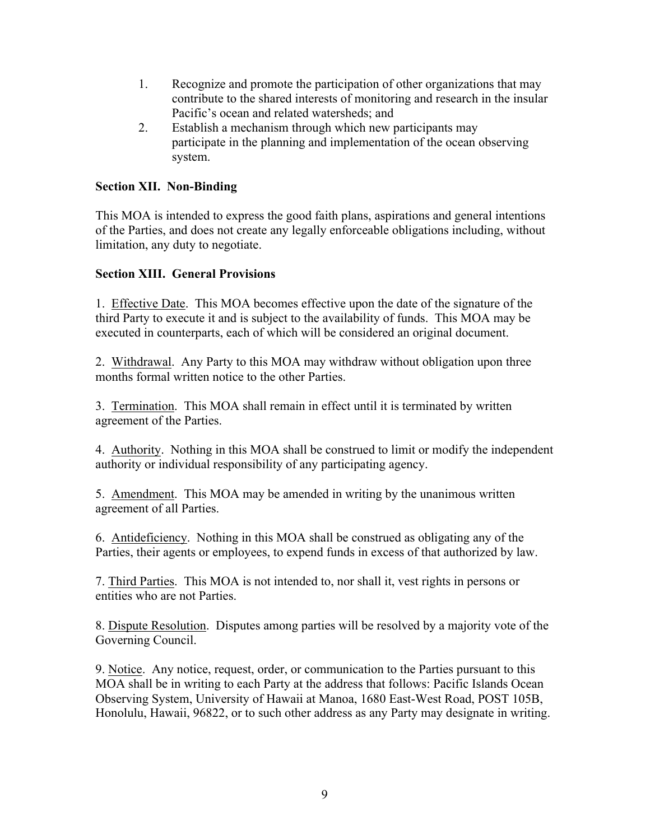- 1. Recognize and promote the participation of other organizations that may contribute to the shared interests of monitoring and research in the insular Pacific's ocean and related watersheds; and
- 2. Establish a mechanism through which new participants may participate in the planning and implementation of the ocean observing system.

# **Section XII. Non-Binding**

This MOA is intended to express the good faith plans, aspirations and general intentions of the Parties, and does not create any legally enforceable obligations including, without limitation, any duty to negotiate.

# **Section XIII. General Provisions**

1. Effective Date. This MOA becomes effective upon the date of the signature of the third Party to execute it and is subject to the availability of funds. This MOA may be executed in counterparts, each of which will be considered an original document.

2. Withdrawal. Any Party to this MOA may withdraw without obligation upon three months formal written notice to the other Parties.

3. Termination. This MOA shall remain in effect until it is terminated by written agreement of the Parties.

4. Authority. Nothing in this MOA shall be construed to limit or modify the independent authority or individual responsibility of any participating agency.

5. Amendment. This MOA may be amended in writing by the unanimous written agreement of all Parties.

6. Antideficiency. Nothing in this MOA shall be construed as obligating any of the Parties, their agents or employees, to expend funds in excess of that authorized by law.

7. Third Parties. This MOA is not intended to, nor shall it, vest rights in persons or entities who are not Parties.

8. Dispute Resolution. Disputes among parties will be resolved by a majority vote of the Governing Council.

9. Notice. Any notice, request, order, or communication to the Parties pursuant to this MOA shall be in writing to each Party at the address that follows: Pacific Islands Ocean Observing System, University of Hawaii at Manoa, 1680 East-West Road, POST 105B, Honolulu, Hawaii, 96822, or to such other address as any Party may designate in writing.